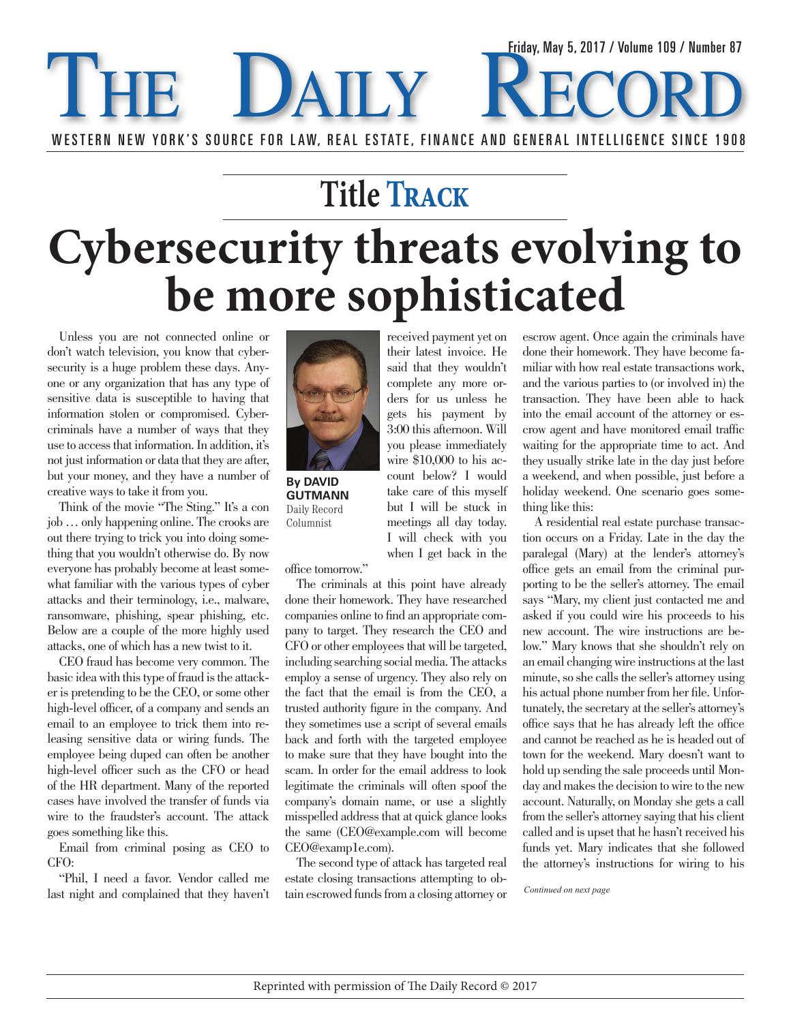## THE DAILY RECO WESTERN NEW YORK'S SOURCE FOR LAW, REAL ESTATE, FINANCE AND GENERAL INTELLIGENCE SINCE 1908 Friday, May 5, 2017 / Volume 109 / Number 87

## **Title Track Cybersecurity threats evolving to be more sophisticated**

Unless you are not connected online or don't watch television, you know that cybersecurity is a huge problem these days. Anyone or any organization that has any type of sensitive data is susceptible to having that information stolen or compromised. Cybercriminals have a number of ways that they use to access that information. In addition, it's not just information or data that they are after, but your money, and they have a number of creative ways to take it from you.

Think of the movie "The Sting." It's a con job … only happening online. The crooks are out there trying to trick you into doing something that you wouldn't otherwise do. By now everyone has probably become at least somewhat familiar with the various types of cyber attacks and their terminology, i.e., malware, ransomware, phishing, spear phishing, etc. Below are a couple of the more highly used attacks, one of which has a new twist to it.

CEO fraud has become very common. The basic idea with this type of fraud is the attacker is pretending to be the CEO, or some other high-level officer, of a company and sends an email to an employee to trick them into releasing sensitive data or wiring funds. The employee being duped can often be another high-level officer such as the CFO or head of the HR department. Many of the reported cases have involved the transfer of funds via wire to the fraudster's account. The attack goes something like this.

Email from criminal posing as CEO to CFO:

"Phil, I need a favor. Vendor called me last night and complained that they haven't



**By DAVID GUTMANN** Daily Record Columnist

office tomorrow."

The criminals at this point have already done their homework. They have researched companies online to find an appropriate company to target. They research the CEO and CFO or other employees that will be targeted, including searching social media. The attacks employ a sense of urgency. They also rely on the fact that the email is from the CEO, a trusted authority figure in the company. And they sometimes use a script of several emails back and forth with the targeted employee to make sure that they have bought into the scam. In order for the email address to look legitimate the criminals will often spoof the company's domain name, or use a slightly misspelled address that at quick glance looks the same (CEO@example.com will become CEO@examp1e.com).

The second type of attack has targeted real estate closing transactions attempting to obtain escrowed funds from a closing attorney or

received payment yet on their latest invoice. He said that they wouldn't complete any more orders for us unless he gets his payment by 3:00 this afternoon. Will you please immediately wire \$10,000 to his account below? I would take care of this myself but I will be stuck in meetings all day today. I will check with you when I get back in the

escrow agent. Once again the criminals have done their homework. They have become familiar with how real estate transactions work, and the various parties to (or involved in) the transaction. They have been able to hack into the email account of the attorney or escrow agent and have monitored email traffic waiting for the appropriate time to act. And they usually strike late in the day just before a weekend, and when possible, just before a holiday weekend. One scenario goes something like this:

A residential real estate purchase transaction occurs on a Friday. Late in the day the paralegal (Mary) at the lender's attorney's office gets an email from the criminal purporting to be the seller's attorney. The email says "Mary, my client just contacted me and asked if you could wire his proceeds to his new account. The wire instructions are below." Mary knows that she shouldn't rely on an email changing wire instructions at the last minute, so she calls the seller's attorney using his actual phone number from her file. Unfortunately, the secretary at the seller's attorney's office says that he has already left the office and cannot be reached as he is headed out of town for the weekend. Mary doesn't want to hold up sending the sale proceeds until Monday and makes the decision to wire to the new account. Naturally, on Monday she gets a call from the seller's attorney saying that his client called and is upset that he hasn't received his funds yet. Mary indicates that she followed the attorney's instructions for wiring to his

*Continued on next page*